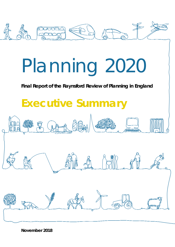

# Planning 2020

### **Final Report of the Raynsford Review of Planning in England**

## **Executive Summary**

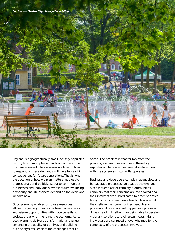



Good planning enables us to use resources efficiently, joining up infrastructure, homes, work and leisure opportunities with huge benefits to society, the environment and the economy. At its best, planning delivers transformational change, enhancing the quality of our lives and building our society's resilience to the challenges that lie

ahead. The problem is that far too often the planning system does not rise to these high aspirations. There is widespread dissatisfaction with the system as it currently operates.

Business and developers complain about slow and bureaucratic processes, an opaque system, and a consequent lack of certainty. Communities complain that their concerns are overlooked and their interests are subordinated to other priorities. Many councillors feel powerless to deliver what they believe their communities need. Many professional planners feel trapped in a processdriven treadmill, rather than being able to develop visionary solutions to their area's needs. Many individuals are confused or overwhelmed by the complexity of the processes involved.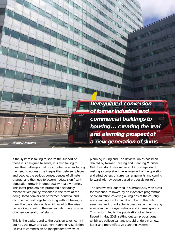

If the system is failing to secure the support of those it is designed to serve, it is also failing to meet the challenges that our country faces, including the need to address the inequalities between places and people, the serious consequences of climate change, and the need to accommodate significant population growth in good-quality healthy homes. This latter problem has prompted a seriously misconceived policy response in the form of the deregulated conversion of former industrial and commercial buildings to housing without having to meet the basic standards which would otherwise be required, creating the real and alarming prospect of a new generation of slums.

This is the background to the decision taken early in 2017 by the Town and Country Planning Association (TCPA) to commission an independent review of

planning in England. The Review, which has been chaired by former Housing and Planning Minister Nick Raynsford, was set an ambitious agenda of making a comprehensive assessment of the operation and effectiveness of current arrangements and coming forward with evidence-based proposals for reform.

The Review was launched in summer 2017 with a call for evidence, followed by an extensive programme of consultation covering all regions of the country and involving a substantial number of thematic seminars and roundtable discussions, and engaging a wide range of organisations and interest groups. This, in turn, led to the publication of an Interim Report in May 2018, setting out ten propositions which we believe can and should underpin a new. fairer and more effective planning system.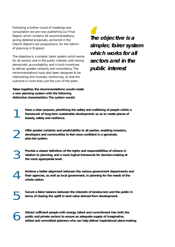Following a further round of meetings and consultation we are now publishing our Final Report, which contains 24 recommendations, giving detailed proposals, anchored in the Interim Report's ten propositions, for the reform of planning in England.

The objective is a simpler, fairer system which works for all sectors and in the public interest, with strong democratic accountability and in-built incentives to deliver greater certainty and consistency. The recommendations have also been designed to be interlocking and mutually reinforcing, so that the outcome is more than just the sum of the parts.

**Taken together, the recommendations would create a new planning system with the following distinctive characteristics.The system would:**

**Th**<br>sin **The objective is a simpler, fairer system which works for all sectors and in the public interest**

Have a clear purpose, prioritising the safety and wellbeing of people within a framework of long-term sustainable development, so as to create places of beauty, safety and resilience. **framework of long-term sustainable development, so as to create places of beauty, safety and resilience.**

2 **Offer greater certainty and predictability to all parties, enabling investors, developers and communities to feel more confident in a genuinely plan-led system.**

3 **Provide a clearer definition of the rights and responsibilities of citizens in relation to planning, and a more logical framework for decision-making at the most appropriate level.**

4 **Achieve a better alignment between the various government departments and their agencies, as well as local government, in planning for the needs of the whole nation.**

5 **Secure a fairer balance between the interests of landowners and the public in terms of sharing the uplift in land value derived from development.**

Attract sufficient people with energy, talent and commitment into both the public and private sectors to ensure an adequate supply of imaginative, skilled and committed planners who can help deliver inspirational place-mak **public and private sectors to ensure an adequate supply of imaginative,**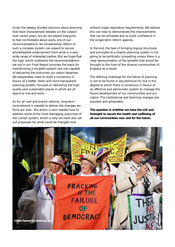Given the deeply divided opinions about planning that have characterised debates on the subject over recent years, we do not expect everyone to feel comfortable about every one of our recommendations. No fundamental reform of such a complex system can expect to secure wholehearted endorsement from what is a very wide range of interested parties. But we hope that the logic which underpins the recommendations set out in our Final Report provides the basis for transforming a troubled system into one capable of delivering the outcomes our nation deserves. We desperately need to build a consensus in favour of a better, fairer and more transparent planning system, focused on delivering the highquality and sustainable places in which we all aspire to live and work.

As for all root and branch reforms, long-term commitment is needed to deliver the changes we think are vital. But action is also needed now to address some of the most damaging outcomes of the current system, which is why we have also set out proposals for what could be changed now

without major legislative requirements. We believe this can help to demonstrate the improvements that can be achieved and so build confidence in the longer-term reform agenda.

In the end, the task of bringing logical structures and principles to a chaotic planning system is not going to be politically compelling unless there is a clear demonstration of the benefits that would be brought to the lives of the diverse communities of England as a result.

The defining challenge for the future of planning is not to be found in any technical fix, but in the degree to which there is consensus in favour of an effective and democratic system to manage the future development of our communities and our nation. The institutional and technical changes are possible and achievable.

**The question is whether we have the will and foresight to secure the health and wellbeing of all our communities now and for the future.**